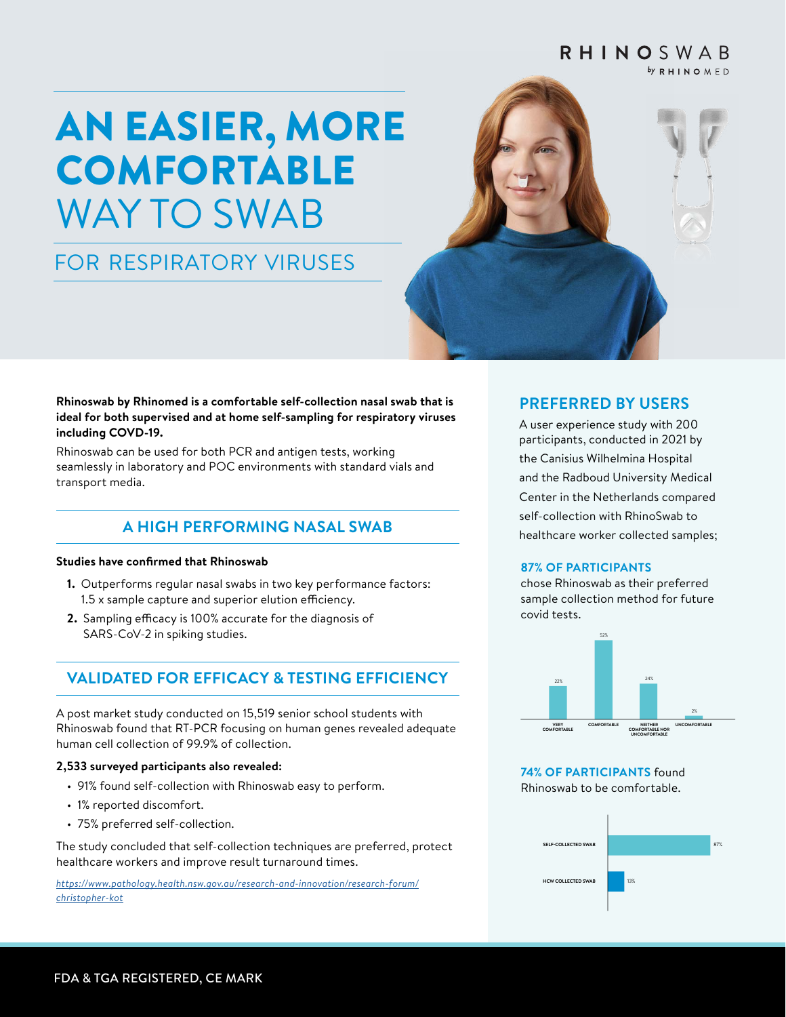#### **RHINOSWAB**  $by$  RHINOMED

# AN EASIER, MORE COMFORTABLE WAY TO SWAB

## FOR RESPIRATORY VIRUSES



#### **Rhinoswab by Rhinomed is a comfortable self-collection nasal swab that is ideal for both supervised and at home self-sampling for respiratory viruses including COVD-19.**

Rhinoswab can be used for both PCR and antigen tests, working seamlessly in laboratory and POC environments with standard vials and transport media.

## **A HIGH PERFORMING NASAL SWAB**

#### **Studies have confirmed that Rhinoswab**

- **1.** Outperforms regular nasal swabs in two key performance factors: 1.5 x sample capture and superior elution efficiency.
- **2.** Sampling efficacy is 100% accurate for the diagnosis of SARS-CoV-2 in spiking studies.

## **VALIDATED FOR EFFICACY & TESTING EFFICIENCY**

A post market study conducted on 15,519 senior school students with Rhinoswab found that RT-PCR focusing on human genes revealed adequate human cell collection of 99.9% of collection.

#### **2,533 surveyed participants also revealed:**

- 91% found self-collection with Rhinoswab easy to perform.
- 1% reported discomfort.
- 75% preferred self-collection.

The study concluded that self-collection techniques are preferred, protect healthcare workers and improve result turnaround times.

*[https://www.pathology.health.nsw.gov.au/research-and-innovation/research-forum/](https://www.pathology.health.nsw.gov.au/research-and-innovation/research-forum/christopher-kot) [christopher-kot](https://www.pathology.health.nsw.gov.au/research-and-innovation/research-forum/christopher-kot)*

### **PREFERRED BY USERS**

A user experience study with 200 participants, conducted in 2021 by the Canisius Wilhelmina Hospital and the Radboud University Medical Center in the Netherlands compared self-collection with RhinoSwab to healthcare worker collected samples;

#### **87% OF PARTICIPANTS**

chose Rhinoswab as their preferred sample collection method for future covid tests.



**74% OF PARTICIPANTS** found **Rhinoswab to be comfortable.**